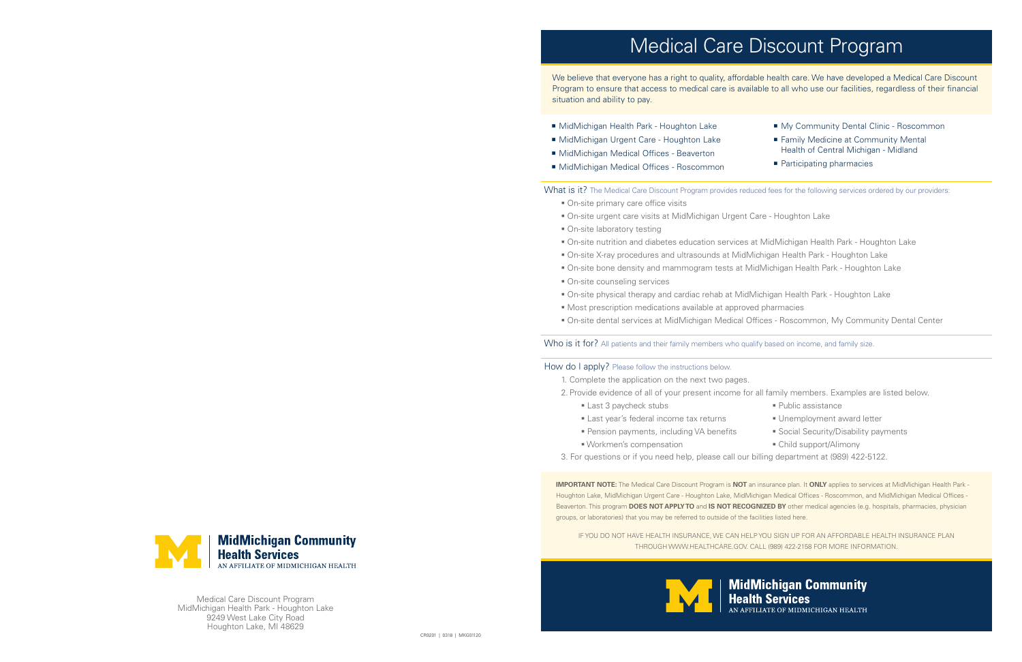Medical Care Discount Program MidMichigan Health Park - Houghton Lake 9249 West Lake City Road Houghton Lake, MI 48629

**IMPORTANT NOTE:** The Medical Care Discount Program is **NOT** an insurance plan. It **ONLY** applies to services at MidMichigan Health Park - Houghton Lake, MidMichigan Urgent Care - Houghton Lake, MidMichigan Medical Offices - Roscommon, and MidMichigan Medical Offices - Beaverton. This program **DOES NOT APPLY TO** and **IS NOT RECOGNIZED BY** other medical agencies (e.g. hospitals, pharmacies, physician groups, or laboratories) that you may be referred to outside of the facilities listed here.

IF YOU DO NOT HAVE HEALTH INSURANCE, WE CAN HELP YOU SIGN UP FOR AN AFFORDABLE HEALTH INSURANCE PLAN THROUGH WWW.HEALTHCARE.GOV. CALL (989) 422-2158 FOR MORE INFORMATION.





We believe that everyone has a right to quality, affordable health care. We have developed a Medical Care Discount Program to ensure that access to medical care is available to all who use our facilities, regardless of their financial situation and ability to pay.

- MidMichigan Health Park Houghton Lake
- MidMichigan Urgent Care Houghton Lake
- MidMichigan Medical Offices Beaverton
- MidMichigan Medical Offices Roscommon

#### What is it? The Medical Care Discount Program provides reduced fees for the following services ordered by our providers:

- On-site primary care office visits
- On-site urgent care visits at MidMichigan Urgent Care Houghton Lake
- **On-site laboratory testing**
- On-site nutrition and diabetes education services at MidMichigan Health Park Houghton Lake On-site X-ray procedures and ultrasounds at MidMichigan Health Park - Houghton Lake On-site bone density and mammogram tests at MidMichigan Health Park - Houghton Lake
- 
- 
- On-site counseling services
- On-site physical therapy and cardiac rehab at MidMichigan Health Park Houghton Lake Most prescription medications available at approved pharmacies On-site dental services at MidMichigan Medical Offices - Roscommon, My Community Dental Center
- 
- 

#### Who is it for? All patients and their family members who qualify based on income, and family size.

#### How do I apply? Please follow the instructions below.

# Medical Care Discount Program

- My Community Dental Clinic Roscommon
- Family Medicine at Community Mental Health of Central Michigan - Midland
- **Participating pharmacies**

- 
- 
- 
- 

## **MidMichigan Community**<br>Health Services **AFFILIATE OF MIDMICHIGAN HEALTH**

1. Complete the application on the next two pages.

- 2. Provide evidence of all of your present income for all family members. Examples are listed below.
	- Last 3 paycheck stubs **Example 2 Public assistance**
	- Last year's federal income tax returns Unemployment award letter
	- Pension payments, including VA benefits Social Security/Disability payments
	- Workmen's compensation Child support/Alimony
- 3. For questions or if you need help, please call our billing department at (989) 422-5122.